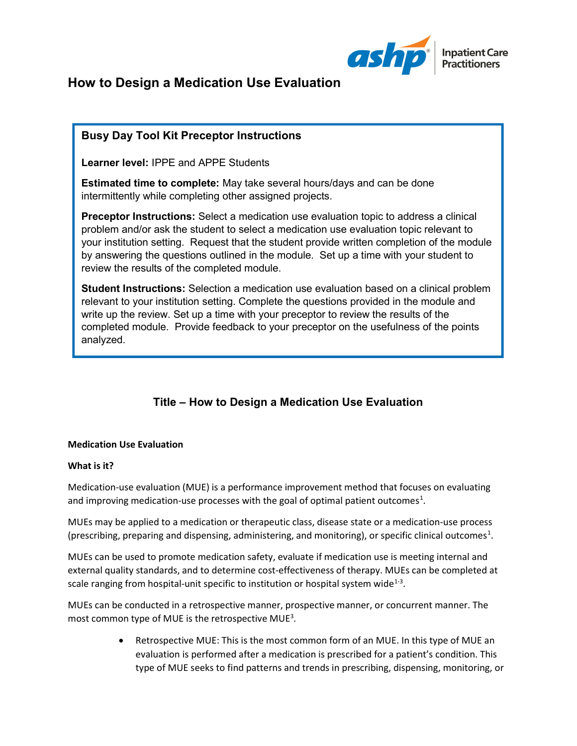

# How to Design a Medication Use Evaluation

# Busy Day Tool Kit Preceptor Instructions

Learner level: IPPE and APPE Students

Estimated time to complete: May take several hours/days and can be done intermittently while completing other assigned projects.

Preceptor Instructions: Select a medication use evaluation topic to address a clinical problem and/or ask the student to select a medication use evaluation topic relevant to your institution setting. Request that the student provide written completion of the module by answering the questions outlined in the module. Set up a time with your student to review the results of the completed module.

Student Instructions: Selection a medication use evaluation based on a clinical problem relevant to your institution setting. Complete the questions provided in the module and write up the review. Set up a time with your preceptor to review the results of the completed module. Provide feedback to your preceptor on the usefulness of the points analyzed.

# Title – How to Design a Medication Use Evaluation

#### Medication Use Evaluation

## What is it?

Medication-use evaluation (MUE) is a performance improvement method that focuses on evaluating and improving medication-use processes with the goal of optimal patient outcomes<sup>1</sup>.

MUEs may be applied to a medication or therapeutic class, disease state or a medication-use process (prescribing, preparing and dispensing, administering, and monitoring), or specific clinical outcomes<sup>1</sup>.

MUEs can be used to promote medication safety, evaluate if medication use is meeting internal and external quality standards, and to determine cost-effectiveness of therapy. MUEs can be completed at scale ranging from hospital-unit specific to institution or hospital system wide $^{1-3}$ .

MUEs can be conducted in a retrospective manner, prospective manner, or concurrent manner. The most common type of MUE is the retrospective MUE<sup>3</sup>.

> Retrospective MUE: This is the most common form of an MUE. In this type of MUE an evaluation is performed after a medication is prescribed for a patient's condition. This type of MUE seeks to find patterns and trends in prescribing, dispensing, monitoring, or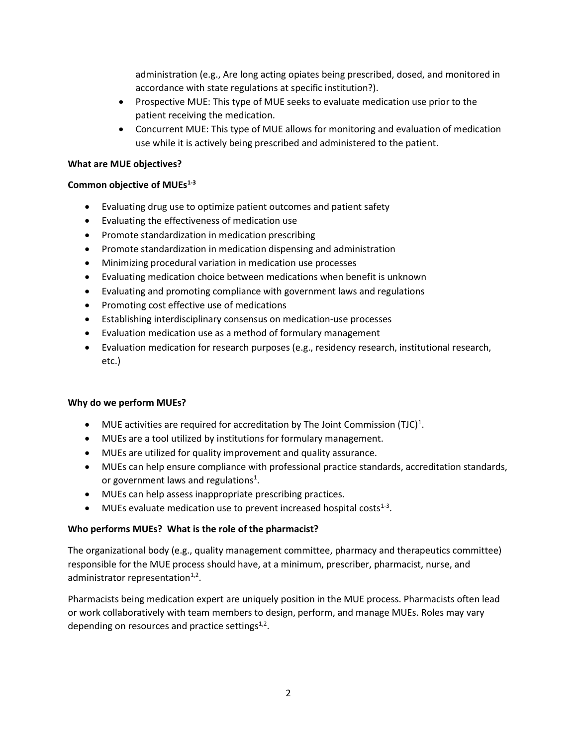administration (e.g., Are long acting opiates being prescribed, dosed, and monitored in accordance with state regulations at specific institution?).

- Prospective MUE: This type of MUE seeks to evaluate medication use prior to the patient receiving the medication.
- Concurrent MUE: This type of MUE allows for monitoring and evaluation of medication use while it is actively being prescribed and administered to the patient.

#### What are MUE objectives?

#### Common objective of MUEs<sup>1-3</sup>

- Evaluating drug use to optimize patient outcomes and patient safety
- Evaluating the effectiveness of medication use
- Promote standardization in medication prescribing
- Promote standardization in medication dispensing and administration
- Minimizing procedural variation in medication use processes
- Evaluating medication choice between medications when benefit is unknown
- Evaluating and promoting compliance with government laws and regulations
- Promoting cost effective use of medications
- Establishing interdisciplinary consensus on medication-use processes
- Evaluation medication use as a method of formulary management
- Evaluation medication for research purposes (e.g., residency research, institutional research, etc.)

#### Why do we perform MUEs?

- MUE activities are required for accreditation by The Joint Commission (TJC)<sup>1</sup>.
- MUEs are a tool utilized by institutions for formulary management.
- MUEs are utilized for quality improvement and quality assurance.
- MUEs can help ensure compliance with professional practice standards, accreditation standards, or government laws and regulations<sup>1</sup>.
- MUEs can help assess inappropriate prescribing practices.
- $\bullet$  MUEs evaluate medication use to prevent increased hospital costs<sup>1-3</sup>.

## Who performs MUEs? What is the role of the pharmacist?

The organizational body (e.g., quality management committee, pharmacy and therapeutics committee) responsible for the MUE process should have, at a minimum, prescriber, pharmacist, nurse, and administrator representation<sup>1,2</sup>.

Pharmacists being medication expert are uniquely position in the MUE process. Pharmacists often lead or work collaboratively with team members to design, perform, and manage MUEs. Roles may vary depending on resources and practice settings $^{1,2}$ .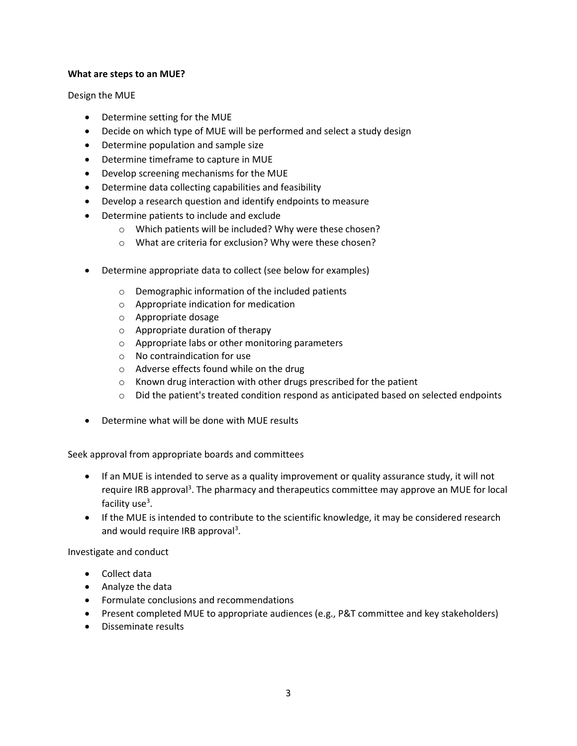#### What are steps to an MUE?

Design the MUE

- Determine setting for the MUE
- Decide on which type of MUE will be performed and select a study design
- Determine population and sample size
- Determine timeframe to capture in MUE
- Develop screening mechanisms for the MUE
- Determine data collecting capabilities and feasibility
- Develop a research question and identify endpoints to measure
- Determine patients to include and exclude
	- o Which patients will be included? Why were these chosen?
	- o What are criteria for exclusion? Why were these chosen?
- Determine appropriate data to collect (see below for examples)
	- o Demographic information of the included patients
	- o Appropriate indication for medication
	- o Appropriate dosage
	- o Appropriate duration of therapy
	- o Appropriate labs or other monitoring parameters
	- o No contraindication for use
	- o Adverse effects found while on the drug
	- o Known drug interaction with other drugs prescribed for the patient
	- $\circ$  Did the patient's treated condition respond as anticipated based on selected endpoints
- Determine what will be done with MUE results

Seek approval from appropriate boards and committees

- If an MUE is intended to serve as a quality improvement or quality assurance study, it will not require IRB approval<sup>3</sup>. The pharmacy and therapeutics committee may approve an MUE for local facility use<sup>3</sup>.
- If the MUE is intended to contribute to the scientific knowledge, it may be considered research and would require IRB approval<sup>3</sup>.

Investigate and conduct

- Collect data
- Analyze the data
- Formulate conclusions and recommendations
- Present completed MUE to appropriate audiences (e.g., P&T committee and key stakeholders)
- Disseminate results